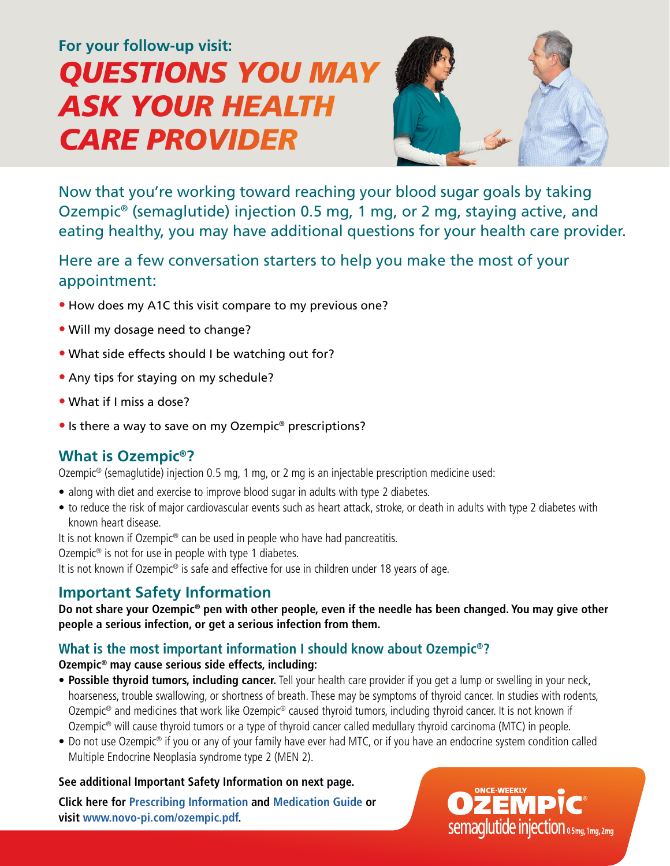# *CARE PROVIDER QUESTIONS YOU MAY ASK YOUR HEALTH* **For your follow-up visit:**



Now that you're working toward reaching your blood sugar goals by taking Ozempic® (semaglutide) injection 0.5 mg, 1 mg, or 2 mg, staying active, and eating healthy, you may have additional questions for your health care provider.

Here are a few conversation starters to help you make the most of your appointment:

- **•** How does my A1C this visit compare to my previous one?
- **•** Will my dosage need to change?
- **•** What side effects should I be watching out for?
- **•** Any tips for staying on my schedule?
- **•** What if I miss a dose?
- **•** Is there a way to save on my Ozempic® prescriptions?

## **What is Ozempic®?**

Ozempic® (semaglutide) injection 0.5 mg, 1 mg, or 2 mg is an injectable prescription medicine used:

- along with diet and exercise to improve blood sugar in adults with type 2 diabetes.
- to reduce the risk of major cardiovascular events such as heart attack, stroke, or death in adults with type 2 diabetes with known heart disease.

It is not known if Ozempic<sup>®</sup> can be used in people who have had pancreatitis.

Ozempic<sup>®</sup> is not for use in people with type 1 diabetes.

It is not known if Ozempic<sup>®</sup> is safe and effective for use in children under 18 years of age.

## **Important Safety Information**

**Do not share your Ozempic® pen with other people, even if the needle has been changed. You may give other people a serious infection, or get a serious infection from them.**

### **What is the most important information I should know about Ozempic®?**

#### **Ozempic® may cause serious side effects, including:**

- **Possible thyroid tumors, including cancer.** Tell your health care provider if you get a lump or swelling in your neck, hoarseness, trouble swallowing, or shortness of breath. These may be symptoms of thyroid cancer. In studies with rodents, Ozempic<sup>®</sup> and medicines that work like Ozempic<sup>®</sup> caused thyroid tumors, including thyroid cancer. It is not known if Ozempic® will cause thyroid tumors or a type of thyroid cancer called medullary thyroid carcinoma (MTC) in people.
- Do not use Ozempic<sup>®</sup> if you or any of your family have ever had MTC, or if you have an endocrine system condition called Multiple Endocrine Neoplasia syndrome type 2 (MEN 2).

#### **See additional Important Safety Information on next page.**

**Click here for [Prescribing Information](https://www.novo-pi.com/ozempic.pdf) and [Medication Guide](https://www.novo-pi.com/ozempic.pdf#guide) or visit [www.novo-pi.com/ozempic.pdf.](https://www.novo-pi.com/ozempic.pdf)**